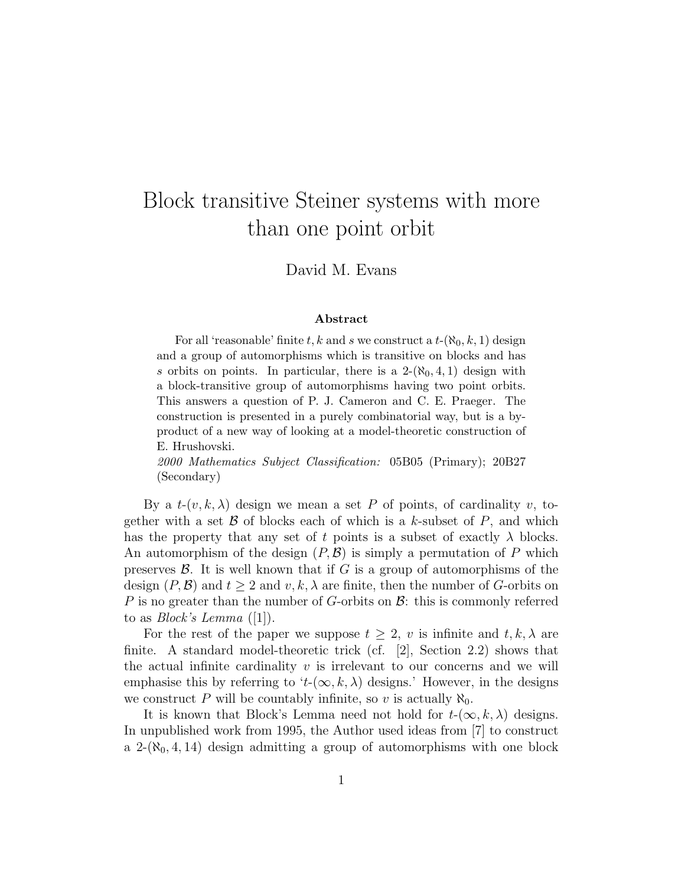## Block transitive Steiner systems with more than one point orbit

David M. Evans

## Abstract

For all 'reasonable' finite t, k and s we construct a  $t-(\aleph_0, k, 1)$  design and a group of automorphisms which is transitive on blocks and has s orbits on points. In particular, there is a  $2-(\aleph_0, 4, 1)$  design with a block-transitive group of automorphisms having two point orbits. This answers a question of P. J. Cameron and C. E. Praeger. The construction is presented in a purely combinatorial way, but is a byproduct of a new way of looking at a model-theoretic construction of E. Hrushovski.

2000 Mathematics Subject Classification: 05B05 (Primary); 20B27 (Secondary)

By a  $t-(v, k, \lambda)$  design we mean a set P of points, of cardinality v, together with a set  $\beta$  of blocks each of which is a k-subset of P, and which has the property that any set of t points is a subset of exactly  $\lambda$  blocks. An automorphism of the design  $(P, \mathcal{B})$  is simply a permutation of P which preserves  $\mathcal{B}$ . It is well known that if G is a group of automorphisms of the design  $(P, \mathcal{B})$  and  $t > 2$  and  $v, k, \lambda$  are finite, then the number of G-orbits on P is no greater than the number of G-orbits on  $\mathcal{B}$ : this is commonly referred to as *Block's Lemma* ([1]).

For the rest of the paper we suppose  $t \geq 2$ , v is infinite and  $t, k, \lambda$  are finite. A standard model-theoretic trick (cf.  $[2]$ , Section 2.2) shows that the actual infinite cardinality  $v$  is irrelevant to our concerns and we will emphasise this by referring to 't- $(\infty, k, \lambda)$  designs.' However, in the designs we construct P will be countably infinite, so v is actually  $\aleph_0$ .

It is known that Block's Lemma need not hold for  $t-(\infty, k, \lambda)$  designs. In unpublished work from 1995, the Author used ideas from [7] to construct a 2- $(\aleph_0, 4, 14)$  design admitting a group of automorphisms with one block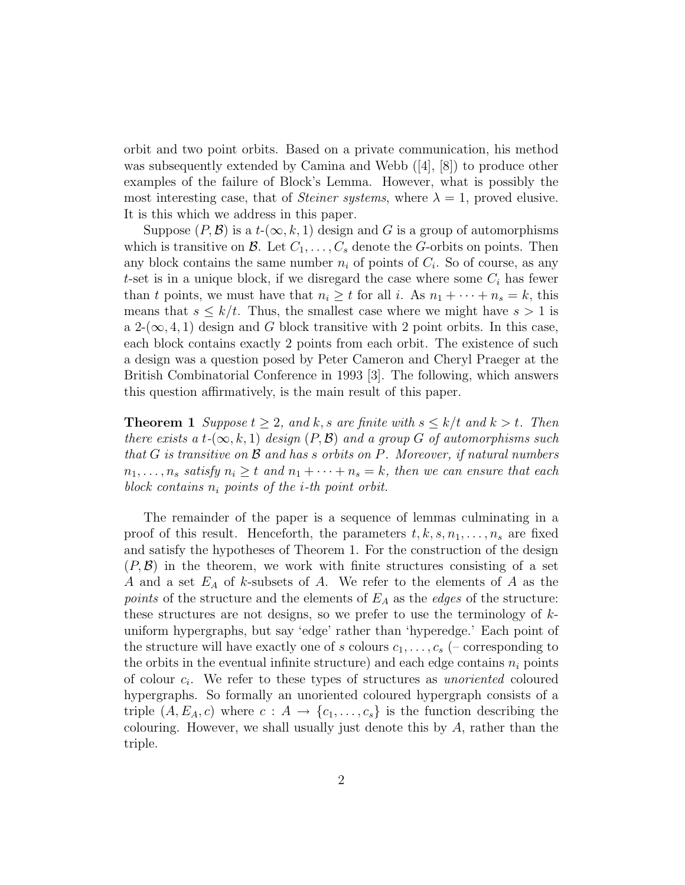orbit and two point orbits. Based on a private communication, his method was subsequently extended by Camina and Webb  $([4], [8])$  to produce other examples of the failure of Block's Lemma. However, what is possibly the most interesting case, that of *Steiner systems*, where  $\lambda = 1$ , proved elusive. It is this which we address in this paper.

Suppose  $(P, \mathcal{B})$  is a  $t-(\infty, k, 1)$  design and G is a group of automorphisms which is transitive on B. Let  $C_1, \ldots, C_s$  denote the G-orbits on points. Then any block contains the same number  $n_i$  of points of  $C_i$ . So of course, as any t-set is in a unique block, if we disregard the case where some  $C_i$  has fewer than t points, we must have that  $n_i \geq t$  for all i. As  $n_1 + \cdots + n_s = k$ , this means that  $s \leq k/t$ . Thus, the smallest case where we might have  $s > 1$  is a 2- $(\infty, 4, 1)$  design and G block transitive with 2 point orbits. In this case, each block contains exactly 2 points from each orbit. The existence of such a design was a question posed by Peter Cameron and Cheryl Praeger at the British Combinatorial Conference in 1993 [3]. The following, which answers this question affirmatively, is the main result of this paper.

**Theorem 1** Suppose  $t \geq 2$ , and k, s are finite with  $s \leq k/t$  and  $k > t$ . Then there exists a t- $(\infty, k, 1)$  design  $(P, \mathcal{B})$  and a group G of automorphisms such that  $G$  is transitive on  $\beta$  and has s orbits on  $P$ . Moreover, if natural numbers  $n_1, \ldots, n_s$  satisfy  $n_i \geq t$  and  $n_1 + \cdots + n_s = k$ , then we can ensure that each block contains  $n_i$  points of the *i*-th point orbit.

The remainder of the paper is a sequence of lemmas culminating in a proof of this result. Henceforth, the parameters  $t, k, s, n_1, \ldots, n_s$  are fixed and satisfy the hypotheses of Theorem 1. For the construction of the design  $(P, \mathcal{B})$  in the theorem, we work with finite structures consisting of a set A and a set  $E_A$  of k-subsets of A. We refer to the elements of A as the points of the structure and the elements of  $E_A$  as the *edges* of the structure: these structures are not designs, so we prefer to use the terminology of  $k$ uniform hypergraphs, but say 'edge' rather than 'hyperedge.' Each point of the structure will have exactly one of s colours  $c_1, \ldots, c_s$  (– corresponding to the orbits in the eventual infinite structure) and each edge contains  $n_i$  points of colour  $c_i$ . We refer to these types of structures as *unoriented* coloured hypergraphs. So formally an unoriented coloured hypergraph consists of a triple  $(A, E_A, c)$  where  $c : A \rightarrow \{c_1, \ldots, c_s\}$  is the function describing the colouring. However, we shall usually just denote this by  $A$ , rather than the triple.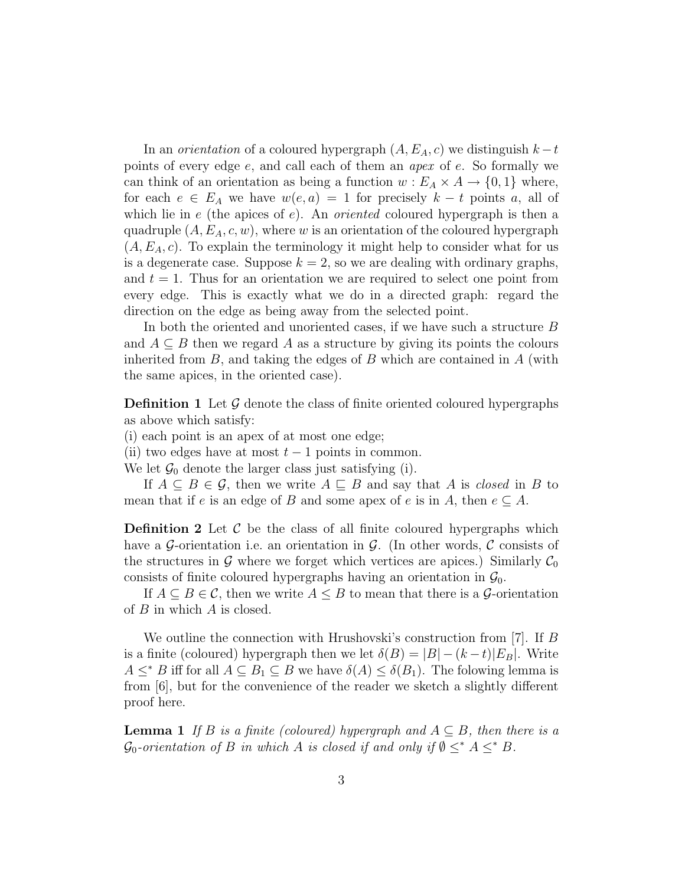In an *orientation* of a coloured hypergraph  $(A, E<sub>A</sub>, c)$  we distinguish  $k - t$ points of every edge e, and call each of them an apex of e. So formally we can think of an orientation as being a function  $w : E_A \times A \to \{0, 1\}$  where, for each  $e \in E_A$  we have  $w(e, a) = 1$  for precisely  $k - t$  points a, all of which lie in  $e$  (the apices of  $e$ ). An *oriented* coloured hypergraph is then a quadruple  $(A, E_A, c, w)$ , where w is an orientation of the coloured hypergraph  $(A, E<sub>A</sub>, c)$ . To explain the terminology it might help to consider what for us is a degenerate case. Suppose  $k = 2$ , so we are dealing with ordinary graphs, and  $t = 1$ . Thus for an orientation we are required to select one point from every edge. This is exactly what we do in a directed graph: regard the direction on the edge as being away from the selected point.

In both the oriented and unoriented cases, if we have such a structure B and  $A \subseteq B$  then we regard A as a structure by giving its points the colours inherited from  $B$ , and taking the edges of  $B$  which are contained in  $A$  (with the same apices, in the oriented case).

**Definition 1** Let  $\mathcal{G}$  denote the class of finite oriented coloured hypergraphs as above which satisfy:

(i) each point is an apex of at most one edge;

(ii) two edges have at most  $t-1$  points in common.

We let  $\mathcal{G}_0$  denote the larger class just satisfying (i).

If  $A \subseteq B \in \mathcal{G}$ , then we write  $A \sqsubseteq B$  and say that A is closed in B to mean that if e is an edge of B and some apex of e is in A, then  $e \subseteq A$ .

**Definition 2** Let  $\mathcal{C}$  be the class of all finite coloured hypergraphs which have a G-orientation i.e. an orientation in G. (In other words, C consists of the structures in G where we forget which vertices are apices.) Similarly  $\mathcal{C}_0$ consists of finite coloured hypergraphs having an orientation in  $\mathcal{G}_0$ .

If  $A \subseteq B \in \mathcal{C}$ , then we write  $A \leq B$  to mean that there is a  $\mathcal{G}$ -orientation of  $B$  in which  $A$  is closed.

We outline the connection with Hrushovski's construction from [7]. If B is a finite (coloured) hypergraph then we let  $\delta(B) = |B| - (k - t)|E_B|$ . Write  $A \leq^* B$  iff for all  $A \subseteq B_1 \subseteq B$  we have  $\delta(A) \leq \delta(B_1)$ . The folowing lemma is from [6], but for the convenience of the reader we sketch a slightly different proof here.

**Lemma 1** If B is a finite (coloured) hypergraph and  $A \subseteq B$ , then there is a  $\mathcal{G}_0$ -orientation of B in which A is closed if and only if  $\emptyset \leq^* A \leq^* B$ .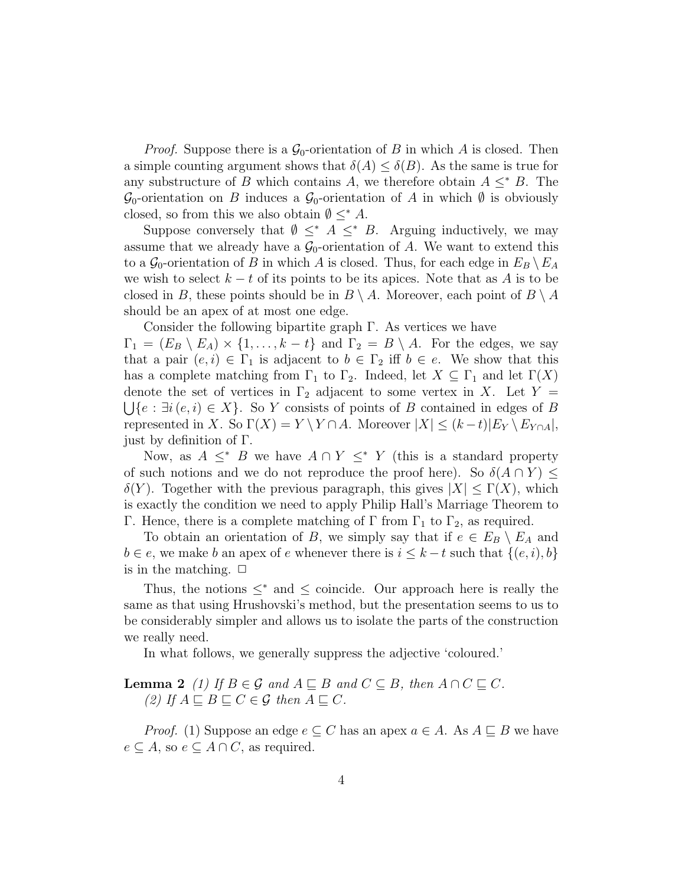*Proof.* Suppose there is a  $\mathcal{G}_0$ -orientation of B in which A is closed. Then a simple counting argument shows that  $\delta(A) \leq \delta(B)$ . As the same is true for any substructure of B which contains A, we therefore obtain  $A \leq^* B$ . The  $\mathcal{G}_0$ -orientation on B induces a  $\mathcal{G}_0$ -orientation of A in which  $\emptyset$  is obviously closed, so from this we also obtain  $\emptyset \leq^* A$ .

Suppose conversely that  $\emptyset \leq^* A \leq^* B$ . Arguing inductively, we may assume that we already have a  $\mathcal{G}_0$ -orientation of A. We want to extend this to a  $\mathcal{G}_0$ -orientation of B in which A is closed. Thus, for each edge in  $E_B \setminus E_A$ we wish to select  $k - t$  of its points to be its apices. Note that as A is to be closed in B, these points should be in  $B \setminus A$ . Moreover, each point of  $B \setminus A$ should be an apex of at most one edge.

Consider the following bipartite graph Γ. As vertices we have

 $\Gamma_1 = (E_B \setminus E_A) \times \{1, \ldots, k-t\}$  and  $\Gamma_2 = B \setminus A$ . For the edges, we say that a pair  $(e, i) \in \Gamma_1$  is adjacent to  $b \in \Gamma_2$  iff  $b \in e$ . We show that this has a complete matching from  $\Gamma_1$  to  $\Gamma_2$ . Indeed, let  $X \subseteq \Gamma_1$  and let  $\Gamma(X)$ denote the set of vertices in  $\Gamma_2$  adjacent to some vertex in X. Let Y =  $\bigcup \{e : \exists i (e, i) \in X\}$ . So Y consists of points of B contained in edges of B represented in X. So  $\Gamma(X) = Y \ Y \cap A$ . Moreover  $|X| \leq (k-t)|E_Y \ E_{Y \cap A}|$ , just by definition of Γ.

Now, as  $A \leq^* B$  we have  $A \cap Y \leq^* Y$  (this is a standard property of such notions and we do not reproduce the proof here). So  $\delta(A \cap Y) \leq$  $\delta(Y)$ . Together with the previous paragraph, this gives  $|X| \leq \Gamma(X)$ , which is exactly the condition we need to apply Philip Hall's Marriage Theorem to Γ. Hence, there is a complete matching of Γ from  $\Gamma_1$  to  $\Gamma_2$ , as required.

To obtain an orientation of B, we simply say that if  $e \in E_B \setminus E_A$  and  $b \in e$ , we make b an apex of e whenever there is  $i \leq k-t$  such that  $\{(e, i), b\}$ is in the matching.  $\Box$ 

Thus, the notions  $\leq^*$  and  $\leq$  coincide. Our approach here is really the same as that using Hrushovski's method, but the presentation seems to us to be considerably simpler and allows us to isolate the parts of the construction we really need.

In what follows, we generally suppress the adjective 'coloured.'

**Lemma 2** (1) If  $B \in \mathcal{G}$  and  $A \sqsubset B$  and  $C \subseteq B$ , then  $A \cap C \sqsubset C$ . (2) If  $A \sqsubseteq B \sqsubseteq C \in \mathcal{G}$  then  $A \sqsubseteq C$ .

*Proof.* (1) Suppose an edge  $e \subseteq C$  has an apex  $a \in A$ . As  $A \sqsubseteq B$  we have  $e \subseteq A$ , so  $e \subseteq A \cap C$ , as required.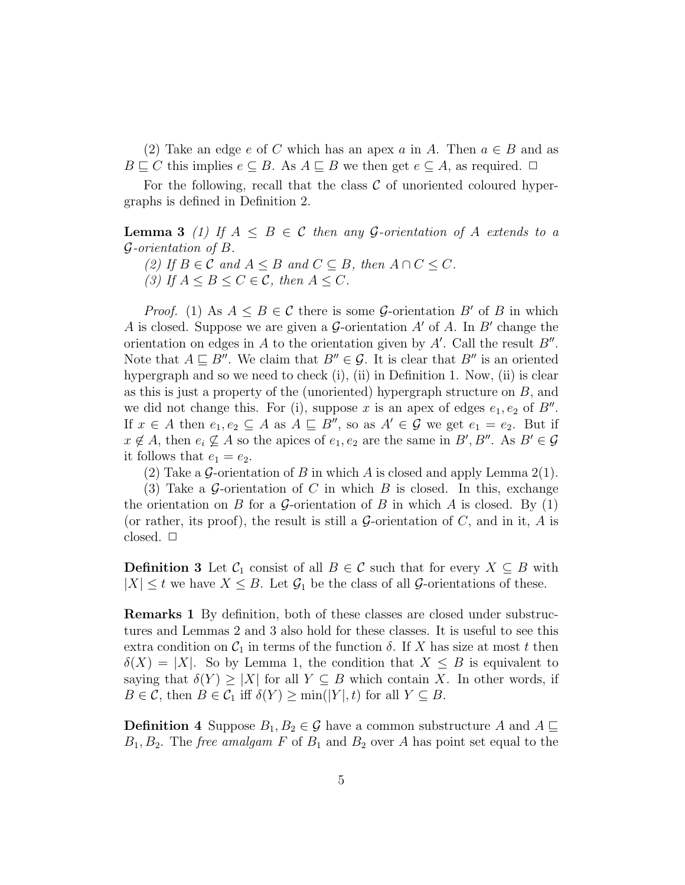(2) Take an edge e of C which has an apex a in A. Then  $a \in B$  and as  $B \sqsubseteq C$  this implies  $e \subseteq B$ . As  $A \sqsubseteq B$  we then get  $e \subseteq A$ , as required.  $\Box$ 

For the following, recall that the class  $\mathcal C$  of unoriented coloured hypergraphs is defined in Definition 2.

**Lemma 3** (1) If  $A \leq B \in \mathcal{C}$  then any G-orientation of A extends to a G-orientation of B.

(2) If  $B \in \mathcal{C}$  and  $A \leq B$  and  $C \subseteq B$ , then  $A \cap C \leq C$ . (3) If  $A \leq B \leq C \in \mathcal{C}$ , then  $A \leq C$ .

*Proof.* (1) As  $A \leq B \in \mathcal{C}$  there is some G-orientation B' of B in which A is closed. Suppose we are given a  $\mathcal G$ -orientation  $A'$  of A. In  $B'$  change the orientation on edges in A to the orientation given by  $A'$ . Call the result  $B''$ . Note that  $A \sqsubseteq B''$ . We claim that  $B'' \in \mathcal{G}$ . It is clear that  $B''$  is an oriented hypergraph and so we need to check (i), (ii) in Definition 1. Now, (ii) is clear as this is just a property of the (unoriented) hypergraph structure on  $B$ , and we did not change this. For (i), suppose x is an apex of edges  $e_1, e_2$  of  $B''$ . If  $x \in A$  then  $e_1, e_2 \subseteq A$  as  $A \subseteq B''$ , so as  $A' \in \mathcal{G}$  we get  $e_1 = e_2$ . But if  $x \notin A$ , then  $e_i \nsubseteq A$  so the apices of  $e_1, e_2$  are the same in  $B', B''$ . As  $B' \in \mathcal{G}$ it follows that  $e_1 = e_2$ .

(2) Take a G-orientation of B in which A is closed and apply Lemma 2(1).

(3) Take a G-orientation of C in which B is closed. In this, exchange the orientation on B for a G-orientation of B in which A is closed. By  $(1)$ (or rather, its proof), the result is still a  $\mathcal G$ -orientation of  $C$ , and in it,  $A$  is closed.  $\square$ 

**Definition 3** Let  $\mathcal{C}_1$  consist of all  $B \in \mathcal{C}$  such that for every  $X \subseteq B$  with  $|X| \leq t$  we have  $X \leq B$ . Let  $\mathcal{G}_1$  be the class of all  $\mathcal{G}$ -orientations of these.

Remarks 1 By definition, both of these classes are closed under substructures and Lemmas 2 and 3 also hold for these classes. It is useful to see this extra condition on  $C_1$  in terms of the function  $\delta$ . If X has size at most t then  $\delta(X) = |X|$ . So by Lemma 1, the condition that  $X \leq B$  is equivalent to saying that  $\delta(Y) \geq |X|$  for all  $Y \subseteq B$  which contain X. In other words, if  $B \in \mathcal{C}$ , then  $B \in \mathcal{C}_1$  iff  $\delta(Y) \ge \min(|Y|, t)$  for all  $Y \subseteq B$ .

**Definition 4** Suppose  $B_1, B_2 \in \mathcal{G}$  have a common substructure A and  $A \sqsubseteq$  $B_1, B_2$ . The *free amalgam F* of  $B_1$  and  $B_2$  over A has point set equal to the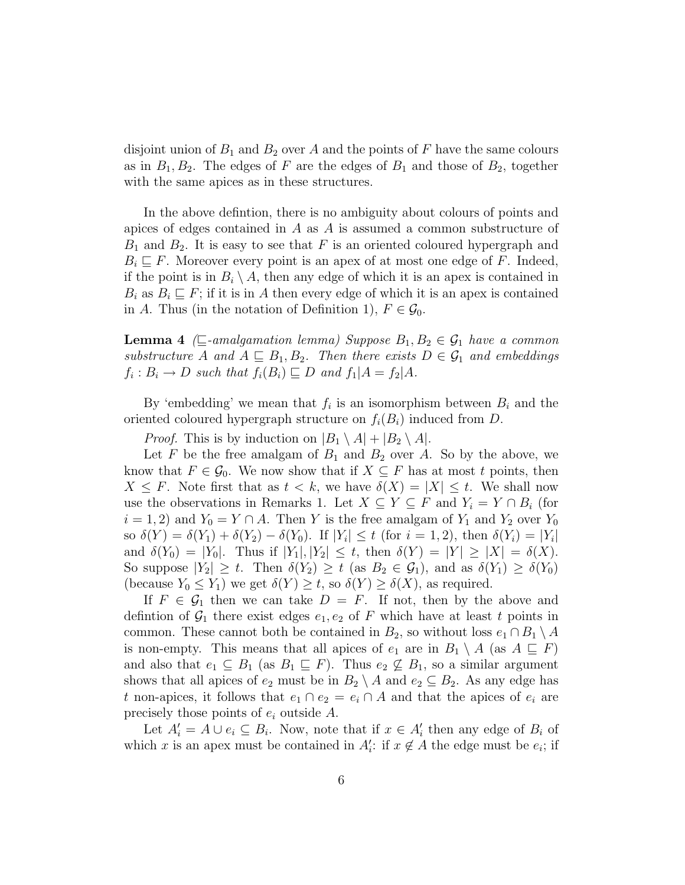disjoint union of  $B_1$  and  $B_2$  over A and the points of F have the same colours as in  $B_1, B_2$ . The edges of F are the edges of  $B_1$  and those of  $B_2$ , together with the same apices as in these structures.

In the above defintion, there is no ambiguity about colours of points and apices of edges contained in  $A$  as  $A$  is assumed a common substructure of  $B_1$  and  $B_2$ . It is easy to see that F is an oriented coloured hypergraph and  $B_i \sqsubseteq F$ . Moreover every point is an apex of at most one edge of F. Indeed, if the point is in  $B_i \setminus A$ , then any edge of which it is an apex is contained in  $B_i$  as  $B_i \subseteq F$ ; if it is in A then every edge of which it is an apex is contained in A. Thus (in the notation of Definition 1),  $F \in \mathcal{G}_0$ .

**Lemma 4** ( $\sqsubseteq$ -amalgamation lemma) Suppose  $B_1, B_2 \in \mathcal{G}_1$  have a common substructure A and  $A \subseteq B_1, B_2$ . Then there exists  $D \in \mathcal{G}_1$  and embeddings  $f_i: B_i \to D$  such that  $f_i(B_i) \sqsubseteq D$  and  $f_1|A = f_2|A$ .

By 'embedding' we mean that  $f_i$  is an isomorphism between  $B_i$  and the oriented coloured hypergraph structure on  $f_i(B_i)$  induced from D.

*Proof.* This is by induction on  $|B_1 \setminus A| + |B_2 \setminus A|$ .

Let F be the free amalgam of  $B_1$  and  $B_2$  over A. So by the above, we know that  $F \in \mathcal{G}_0$ . We now show that if  $X \subseteq F$  has at most t points, then  $X \leq F$ . Note first that as  $t < k$ , we have  $\delta(X) = |X| \leq t$ . We shall now use the observations in Remarks 1. Let  $X \subseteq Y \subseteq F$  and  $Y_i = Y \cap B_i$  (for  $i = 1, 2$  and  $Y_0 = Y \cap A$ . Then Y is the free amalgam of  $Y_1$  and  $Y_2$  over  $Y_0$ so  $\delta(Y) = \delta(Y_1) + \delta(Y_2) - \delta(Y_0)$ . If  $|Y_i| \le t$  (for  $i = 1, 2$ ), then  $\delta(Y_i) = |Y_i|$ and  $\delta(Y_0) = |Y_0|$ . Thus if  $|Y_1|, |Y_2| \le t$ , then  $\delta(Y) = |Y| \ge |X| = \delta(X)$ . So suppose  $|Y_2| \geq t$ . Then  $\delta(Y_2) \geq t$  (as  $B_2 \in \mathcal{G}_1$ ), and as  $\delta(Y_1) \geq \delta(Y_0)$ (because  $Y_0 \leq Y_1$ ) we get  $\delta(Y) \geq t$ , so  $\delta(Y) \geq \delta(X)$ , as required.

If  $F \in \mathcal{G}_1$  then we can take  $D = F$ . If not, then by the above and defintion of  $\mathcal{G}_1$  there exist edges  $e_1, e_2$  of F which have at least t points in common. These cannot both be contained in  $B_2$ , so without loss  $e_1 \cap B_1 \setminus A$ is non-empty. This means that all apices of  $e_1$  are in  $B_1 \setminus A$  (as  $A \subseteq F$ ) and also that  $e_1 \subseteq B_1$  (as  $B_1 \subseteq F$ ). Thus  $e_2 \nsubseteq B_1$ , so a similar argument shows that all apices of  $e_2$  must be in  $B_2 \setminus A$  and  $e_2 \subseteq B_2$ . As any edge has t non-apices, it follows that  $e_1 \cap e_2 = e_i \cap A$  and that the apices of  $e_i$  are precisely those points of  $e_i$  outside  $A$ .

Let  $A_i' = A \cup e_i \subseteq B_i$ . Now, note that if  $x \in A_i'$  then any edge of  $B_i$  of which x is an apex must be contained in  $A_i$ : if  $x \notin A$  the edge must be  $e_i$ ; if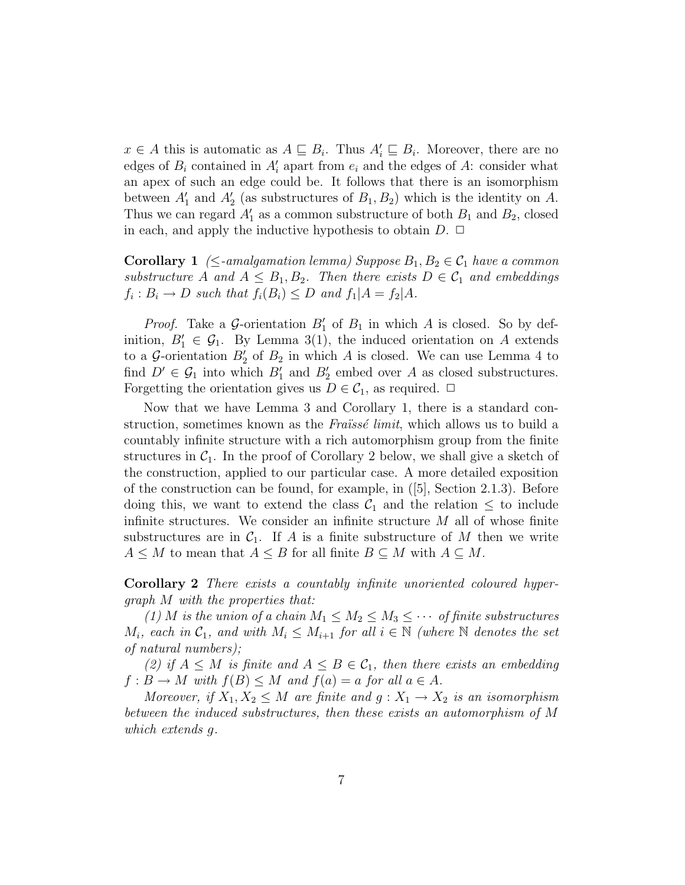$x \in A$  this is automatic as  $A \sqsubseteq B_i$ . Thus  $A'_i \sqsubseteq B_i$ . Moreover, there are no edges of  $B_i$  contained in  $A_i'$  apart from  $e_i$  and the edges of A: consider what an apex of such an edge could be. It follows that there is an isomorphism between  $A'_1$  and  $A'_2$  (as substructures of  $B_1, B_2$ ) which is the identity on A. Thus we can regard  $A'_1$  as a common substructure of both  $B_1$  and  $B_2$ , closed in each, and apply the inductive hypothesis to obtain  $D$ .  $\Box$ 

**Corollary 1** ( $\leq$ -amalgamation lemma) Suppose  $B_1, B_2 \in C_1$  have a common substructure A and  $A \leq B_1, B_2$ . Then there exists  $D \in \mathcal{C}_1$  and embeddings  $f_i: B_i \to D$  such that  $f_i(B_i) \leq D$  and  $f_1|A = f_2|A$ .

*Proof.* Take a  $\mathcal{G}$ -orientation  $B'_1$  of  $B_1$  in which A is closed. So by definition,  $B'_1 \in \mathcal{G}_1$ . By Lemma 3(1), the induced orientation on A extends to a  $\mathcal{G}$ -orientation  $B_2'$  of  $B_2$  in which A is closed. We can use Lemma 4 to find  $D' \in \mathcal{G}_1$  into which  $B'_1$  and  $B'_2$  embed over A as closed substructures. Forgetting the orientation gives us  $D \in \mathcal{C}_1$ , as required.  $\Box$ 

Now that we have Lemma 3 and Corollary 1, there is a standard construction, sometimes known as the Fraissé limit, which allows us to build a countably infinite structure with a rich automorphism group from the finite structures in  $C_1$ . In the proof of Corollary 2 below, we shall give a sketch of the construction, applied to our particular case. A more detailed exposition of the construction can be found, for example, in ([5], Section 2.1.3). Before doing this, we want to extend the class  $\mathcal{C}_1$  and the relation  $\leq$  to include infinite structures. We consider an infinite structure  $M$  all of whose finite substructures are in  $C_1$ . If A is a finite substructure of M then we write  $A \leq M$  to mean that  $A \leq B$  for all finite  $B \subseteq M$  with  $A \subseteq M$ .

Corollary 2 There exists a countably infinite unoriented coloured hypergraph M with the properties that:

(1) M is the union of a chain  $M_1 \leq M_2 \leq M_3 \leq \cdots$  of finite substructures  $M_i$ , each in  $C_1$ , and with  $M_i \leq M_{i+1}$  for all  $i \in \mathbb{N}$  (where  $\mathbb N$  denotes the set of natural numbers);

(2) if  $A \leq M$  is finite and  $A \leq B \in C_1$ , then there exists an embedding  $f : B \to M$  with  $f(B) \leq M$  and  $f(a) = a$  for all  $a \in A$ .

Moreover, if  $X_1, X_2 \leq M$  are finite and  $g: X_1 \to X_2$  is an isomorphism between the induced substructures, then these exists an automorphism of M which extends g.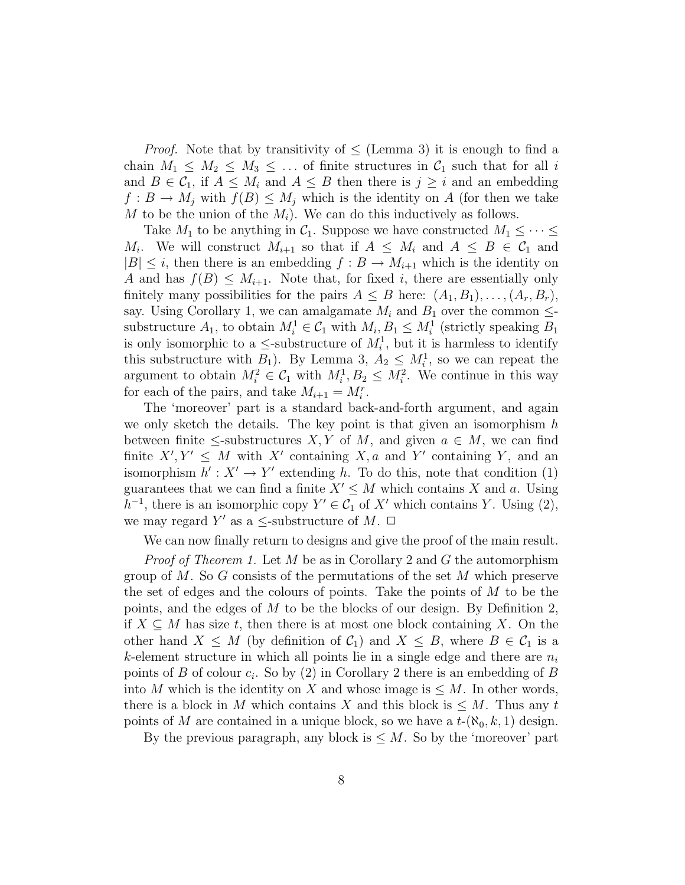*Proof.* Note that by transitivity of  $\leq$  (Lemma 3) it is enough to find a chain  $M_1 \leq M_2 \leq M_3 \leq \ldots$  of finite structures in  $C_1$  such that for all i and  $B \in \mathcal{C}_1$ , if  $A \leq M_i$  and  $A \leq B$  then there is  $j \geq i$  and an embedding  $f: B \to M_i$  with  $f(B) \leq M_i$  which is the identity on A (for then we take M to be the union of the  $M_i$ ). We can do this inductively as follows.

Take  $M_1$  to be anything in  $\mathcal{C}_1$ . Suppose we have constructed  $M_1 \leq \cdots \leq$  $M_i$ . We will construct  $M_{i+1}$  so that if  $A \leq M_i$  and  $A \leq B \in C_1$  and  $|B| \leq i$ , then there is an embedding  $f : B \to M_{i+1}$  which is the identity on A and has  $f(B) \leq M_{i+1}$ . Note that, for fixed i, there are essentially only finitely many possibilities for the pairs  $A \leq B$  here:  $(A_1, B_1), \ldots, (A_r, B_r)$ , say. Using Corollary 1, we can amalgamate  $M_i$  and  $B_1$  over the common  $\leq$ substructure  $A_1$ , to obtain  $M_i^1 \in \mathcal{C}_1$  with  $M_i, B_1 \leq M_i^1$  (strictly speaking  $B_1$ ) is only isomorphic to a  $\leq$ -substructure of  $M_i^1$ , but it is harmless to identify this substructure with  $B_1$ ). By Lemma 3,  $A_2 \leq M_i^1$ , so we can repeat the argument to obtain  $M_i^2 \in \mathcal{C}_1$  with  $M_i^1, B_2 \leq M_i^2$ . We continue in this way for each of the pairs, and take  $M_{i+1} = M_i^r$ .

The 'moreover' part is a standard back-and-forth argument, and again we only sketch the details. The key point is that given an isomorphism  $h$ between finite  $\leq$ -substructures X, Y of M, and given  $a \in M$ , we can find finite  $X', Y' \leq M$  with X' containing X, a and Y' containing Y, and an isomorphism  $h' : X' \to Y'$  extending h. To do this, note that condition (1) guarantees that we can find a finite  $X' \leq M$  which contains X and a. Using  $h^{-1}$ , there is an isomorphic copy  $Y' \in C_1$  of X' which contains Y. Using (2), we may regard Y' as a  $\leq$ -substructure of M.  $\Box$ 

We can now finally return to designs and give the proof of the main result.

*Proof of Theorem 1.* Let  $M$  be as in Corollary 2 and  $G$  the automorphism group of M. So G consists of the permutations of the set M which preserve the set of edges and the colours of points. Take the points of  $M$  to be the points, and the edges of  $M$  to be the blocks of our design. By Definition 2, if  $X \subseteq M$  has size t, then there is at most one block containing X. On the other hand  $X \leq M$  (by definition of  $\mathcal{C}_1$ ) and  $X \leq B$ , where  $B \in \mathcal{C}_1$  is a k-element structure in which all points lie in a single edge and there are  $n_i$ points of B of colour  $c_i$ . So by (2) in Corollary 2 there is an embedding of B into M which is the identity on X and whose image is  $\leq M$ . In other words, there is a block in M which contains X and this block is  $\leq M$ . Thus any t points of M are contained in a unique block, so we have a  $t-(\aleph_0, k, 1)$  design.

By the previous paragraph, any block is  $\leq M$ . So by the 'moreover' part